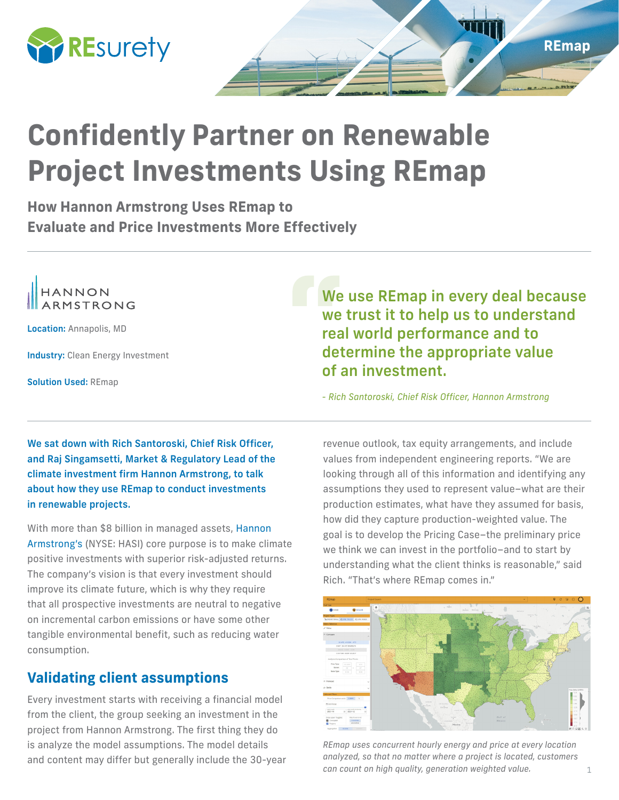

# **Confidently Partner on Renewable Project Investments Using REmap**

**How Hannon Armstrong Uses REmap to Evaluate and Price Investments More Effectively**



Location: Annapolis, MD

**Industry: Clean Energy Investment** 

Solution Used: REmap

We use REmap in every deal because we trust it to help us to understand real world performance and to determine the appropriate value of an investment.

*- Rich Santoroski, Chief Risk Officer, Hannon Armstrong*

We sat down with Rich Santoroski, Chief Risk Officer, and Raj Singamsetti, Market & Regulatory Lead of the climate investment firm Hannon Armstrong, to talk about how they use REmap to conduct investments in renewable projects.

With more than \$8 billion in managed assets, Hannon Armstrong's (NYSE: HASI) core purpose is to make climate positive investments with superior risk-adjusted returns. The company's vision is that every investment should improve its climate future, which is why they require that all prospective investments are neutral to negative on incremental carbon emissions or have some other tangible environmental benefit, such as reducing water consumption.

## **Validating client assumptions**

Every investment starts with receiving a financial model from the client, the group seeking an investment in the project from Hannon Armstrong. The first thing they do is analyze the model assumptions. The model details and content may differ but generally include the 30-year

revenue outlook, tax equity arrangements, and include values from independent engineering reports. "We are looking through all of this information and identifying any assumptions they used to represent value–what are their production estimates, what have they assumed for basis, how did they capture production-weighted value. The goal is to develop the Pricing Case–the preliminary price we think we can invest in the portfolio–and to start by understanding what the client thinks is reasonable," said Rich. "That's where REmap comes in."



*REmap uses concurrent hourly energy and price at every location analyzed, so that no matter where a project is located, customers can count on high quality, generation weighted value.*

**REmap**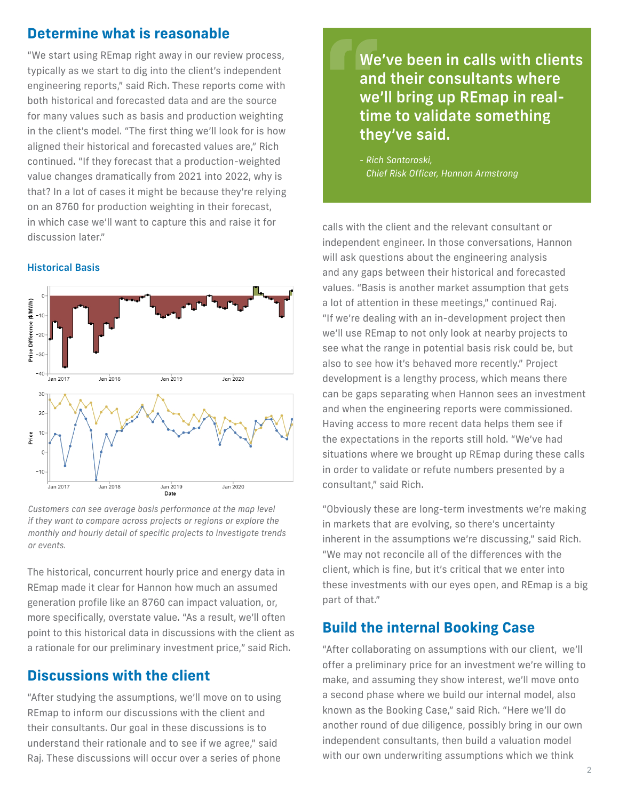#### **Determine what is reasonable**

"We start using REmap right away in our review process, typically as we start to dig into the client's independent engineering reports," said Rich. These reports come with both historical and forecasted data and are the source for many values such as basis and production weighting in the client's model. "The first thing we'll look for is how aligned their historical and forecasted values are," Rich continued. "If they forecast that a production-weighted value changes dramatically from 2021 into 2022, why is that? In a lot of cases it might be because they're relying on an 8760 for production weighting in their forecast, in which case we'll want to capture this and raise it for discussion later."

#### Historical Basis



*Customers can see average basis performance at the map level if they want to compare across projects or regions or explore the monthly and hourly detail of specific projects to investigate trends or events.*

The historical, concurrent hourly price and energy data in REmap made it clear for Hannon how much an assumed generation profile like an 8760 can impact valuation, or, more specifically, overstate value. "As a result, we'll often point to this historical data in discussions with the client as a rationale for our preliminary investment price," said Rich.

#### **Discussions with the client**

"After studying the assumptions, we'll move on to using REmap to inform our discussions with the client and their consultants. Our goal in these discussions is to understand their rationale and to see if we agree," said Raj. These discussions will occur over a series of phone

We've been in calls with clients and their consultants where we'll bring up REmap in realtime to validate something they've said.

*- Rich Santoroski, Chief Risk Officer, Hannon Armstrong*

calls with the client and the relevant consultant or independent engineer. In those conversations, Hannon will ask questions about the engineering analysis and any gaps between their historical and forecasted values. "Basis is another market assumption that gets a lot of attention in these meetings," continued Raj. "If we're dealing with an in-development project then we'll use REmap to not only look at nearby projects to see what the range in potential basis risk could be, but also to see how it's behaved more recently." Project development is a lengthy process, which means there can be gaps separating when Hannon sees an investment and when the engineering reports were commissioned. Having access to more recent data helps them see if the expectations in the reports still hold. "We've had situations where we brought up REmap during these calls in order to validate or refute numbers presented by a consultant," said Rich.

"Obviously these are long-term investments we're making in markets that are evolving, so there's uncertainty inherent in the assumptions we're discussing," said Rich. "We may not reconcile all of the differences with the client, which is fine, but it's critical that we enter into these investments with our eyes open, and REmap is a big part of that."

#### **Build the internal Booking Case**

"After collaborating on assumptions with our client, we'll offer a preliminary price for an investment we're willing to make, and assuming they show interest, we'll move onto a second phase where we build our internal model, also known as the Booking Case," said Rich. "Here we'll do another round of due diligence, possibly bring in our own independent consultants, then build a valuation model with our own underwriting assumptions which we think